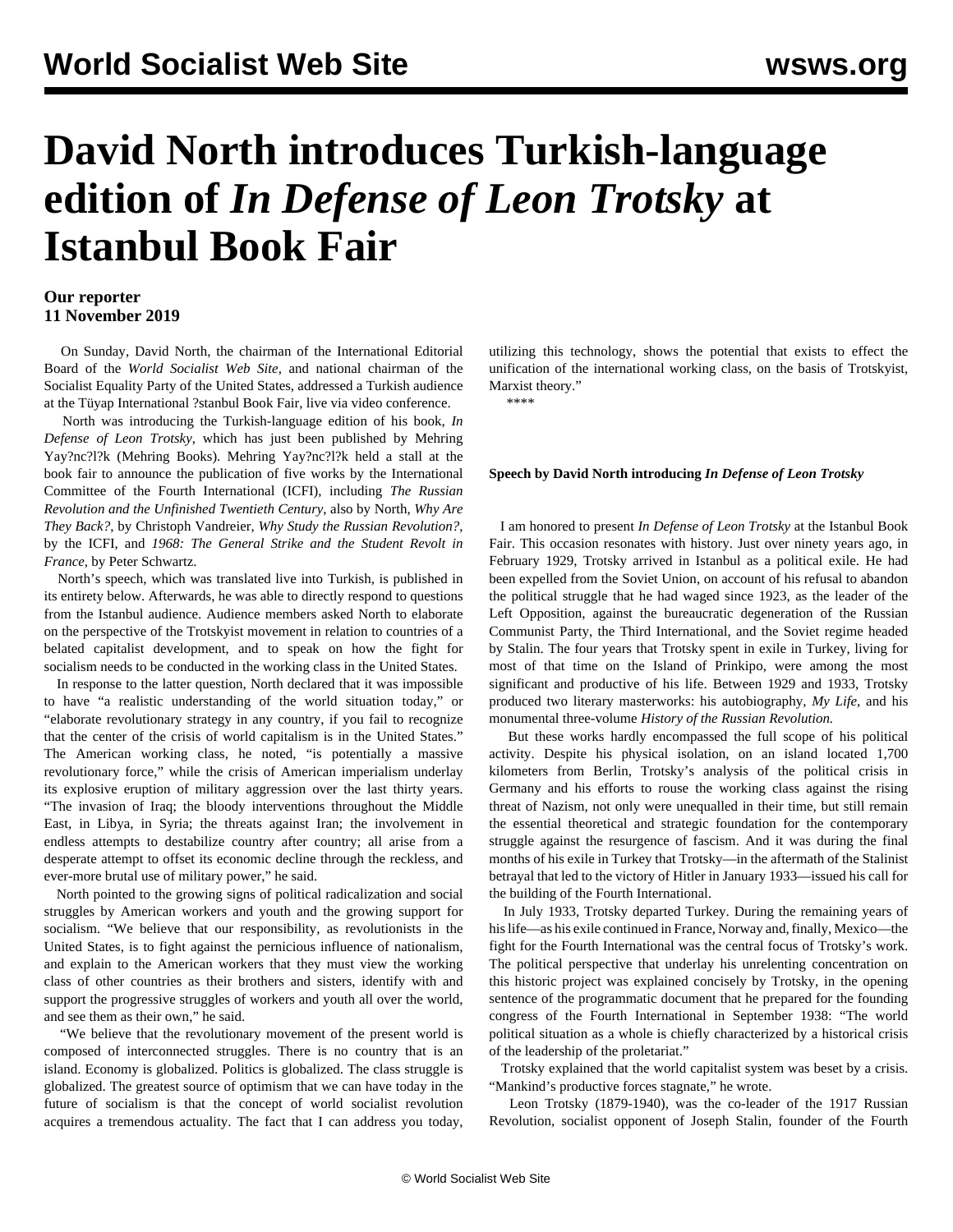## **David North introduces Turkish-language edition of** *In Defense of Leon Trotsky* **at Istanbul Book Fair**

## **Our reporter 11 November 2019**

 On Sunday, David North, the chairman of the International Editorial Board of the *World Socialist Web Site*, and national chairman of the Socialist Equality Party of the United States, addressed a Turkish audience at the Tüyap International ?stanbul Book Fair, live via video conference.

 North was introducing the Turkish-language edition of his book, *In Defense of Leon Trotsky*, which has just been published by Mehring Yay?nc?l?k (Mehring Books). Mehring Yay?nc?l?k held a stall at the book fair to announce the publication of five works by the International Committee of the Fourth International (ICFI), including *The Russian Revolution and the Unfinished Twentieth Century*, also by North, *Why Are They Back?*, by Christoph Vandreier, *Why Study the Russian Revolution?*, by the ICFI, and *1968: The General Strike and the Student Revolt in France*, by Peter Schwartz.

 North's speech, which was translated live into Turkish, is published in its entirety below. Afterwards, he was able to directly respond to questions from the Istanbul audience. Audience members asked North to elaborate on the perspective of the Trotskyist movement in relation to countries of a belated capitalist development, and to speak on how the fight for socialism needs to be conducted in the working class in the United States.

 In response to the latter question, North declared that it was impossible to have "a realistic understanding of the world situation today," or "elaborate revolutionary strategy in any country, if you fail to recognize that the center of the crisis of world capitalism is in the United States." The American working class, he noted, "is potentially a massive revolutionary force," while the crisis of American imperialism underlay its explosive eruption of military aggression over the last thirty years. "The invasion of Iraq; the bloody interventions throughout the Middle East, in Libya, in Syria; the threats against Iran; the involvement in endless attempts to destabilize country after country; all arise from a desperate attempt to offset its economic decline through the reckless, and ever-more brutal use of military power," he said.

 North pointed to the growing signs of political radicalization and social struggles by American workers and youth and the growing support for socialism. "We believe that our responsibility, as revolutionists in the United States, is to fight against the pernicious influence of nationalism, and explain to the American workers that they must view the working class of other countries as their brothers and sisters, identify with and support the progressive struggles of workers and youth all over the world, and see them as their own," he said.

 "We believe that the revolutionary movement of the present world is composed of interconnected struggles. There is no country that is an island. Economy is globalized. Politics is globalized. The class struggle is globalized. The greatest source of optimism that we can have today in the future of socialism is that the concept of world socialist revolution acquires a tremendous actuality. The fact that I can address you today, utilizing this technology, shows the potential that exists to effect the unification of the international working class, on the basis of Trotskyist, Marxist theory." \*\*\*\*

## **Speech by David North introducing** *In Defense of Leon Trotsky*

 I am honored to present *In Defense of Leon Trotsky* at the Istanbul Book Fair. This occasion resonates with history. Just over ninety years ago, in February 1929, Trotsky arrived in Istanbul as a political exile. He had been expelled from the Soviet Union, on account of his refusal to abandon the political struggle that he had waged since 1923, as the leader of the Left Opposition, against the bureaucratic degeneration of the Russian Communist Party, the Third International, and the Soviet regime headed by Stalin. The four years that Trotsky spent in exile in Turkey, living for most of that time on the Island of Prinkipo, were among the most significant and productive of his life. Between 1929 and 1933, Trotsky produced two literary masterworks: his autobiography, *My Life*, and his monumental three-volume *History of the Russian Revolution.*

 But these works hardly encompassed the full scope of his political activity. Despite his physical isolation, on an island located 1,700 kilometers from Berlin, Trotsky's analysis of the political crisis in Germany and his efforts to rouse the working class against the rising threat of Nazism, not only were unequalled in their time, but still remain the essential theoretical and strategic foundation for the contemporary struggle against the resurgence of fascism. And it was during the final months of his exile in Turkey that Trotsky—in the aftermath of the Stalinist betrayal that led to the victory of Hitler in January 1933—issued his call for the building of the Fourth International.

 In July 1933, Trotsky departed Turkey. During the remaining years of his life—as his exile continued in France, Norway and, finally, Mexico—the fight for the Fourth International was the central focus of Trotsky's work. The political perspective that underlay his unrelenting concentration on this historic project was explained concisely by Trotsky, in the opening sentence of the programmatic document that he prepared for the founding congress of the Fourth International in September 1938: "The world political situation as a whole is chiefly characterized by a historical crisis of the leadership of the proletariat."

 Trotsky explained that the world capitalist system was beset by a crisis. "Mankind's productive forces stagnate," he wrote.

 Leon Trotsky (1879-1940), was the co-leader of the 1917 Russian Revolution, socialist opponent of Joseph Stalin, founder of the Fourth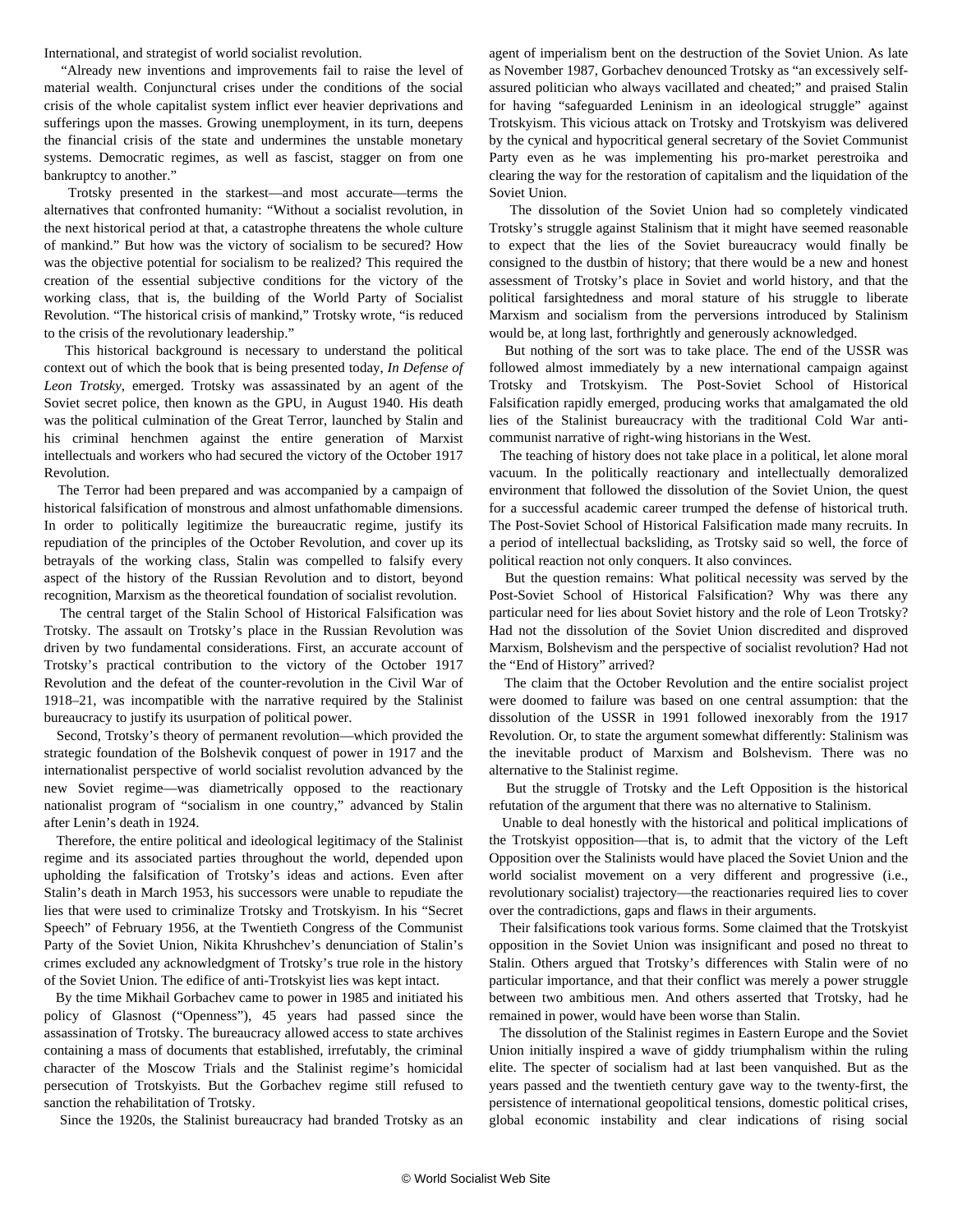International, and strategist of world socialist revolution.

 "Already new inventions and improvements fail to raise the level of material wealth. Conjunctural crises under the conditions of the social crisis of the whole capitalist system inflict ever heavier deprivations and sufferings upon the masses. Growing unemployment, in its turn, deepens the financial crisis of the state and undermines the unstable monetary systems. Democratic regimes, as well as fascist, stagger on from one bankruptcy to another."

 Trotsky presented in the starkest—and most accurate—terms the alternatives that confronted humanity: "Without a socialist revolution, in the next historical period at that, a catastrophe threatens the whole culture of mankind." But how was the victory of socialism to be secured? How was the objective potential for socialism to be realized? This required the creation of the essential subjective conditions for the victory of the working class, that is, the building of the World Party of Socialist Revolution. "The historical crisis of mankind," Trotsky wrote, "is reduced to the crisis of the revolutionary leadership."

 This historical background is necessary to understand the political context out of which the book that is being presented today, *In Defense of Leon Trotsky*, emerged. Trotsky was assassinated by an agent of the Soviet secret police, then known as the GPU, in August 1940. His death was the political culmination of the Great Terror, launched by Stalin and his criminal henchmen against the entire generation of Marxist intellectuals and workers who had secured the victory of the October 1917 Revolution.

 The Terror had been prepared and was accompanied by a campaign of historical falsification of monstrous and almost unfathomable dimensions. In order to politically legitimize the bureaucratic regime, justify its repudiation of the principles of the October Revolution, and cover up its betrayals of the working class, Stalin was compelled to falsify every aspect of the history of the Russian Revolution and to distort, beyond recognition, Marxism as the theoretical foundation of socialist revolution.

 The central target of the Stalin School of Historical Falsification was Trotsky. The assault on Trotsky's place in the Russian Revolution was driven by two fundamental considerations. First, an accurate account of Trotsky's practical contribution to the victory of the October 1917 Revolution and the defeat of the counter-revolution in the Civil War of 1918–21, was incompatible with the narrative required by the Stalinist bureaucracy to justify its usurpation of political power.

 Second, Trotsky's theory of permanent revolution—which provided the strategic foundation of the Bolshevik conquest of power in 1917 and the internationalist perspective of world socialist revolution advanced by the new Soviet regime—was diametrically opposed to the reactionary nationalist program of "socialism in one country," advanced by Stalin after Lenin's death in 1924.

 Therefore, the entire political and ideological legitimacy of the Stalinist regime and its associated parties throughout the world, depended upon upholding the falsification of Trotsky's ideas and actions. Even after Stalin's death in March 1953, his successors were unable to repudiate the lies that were used to criminalize Trotsky and Trotskyism. In his "Secret Speech" of February 1956, at the Twentieth Congress of the Communist Party of the Soviet Union, Nikita Khrushchev's denunciation of Stalin's crimes excluded any acknowledgment of Trotsky's true role in the history of the Soviet Union. The edifice of anti-Trotskyist lies was kept intact.

 By the time Mikhail Gorbachev came to power in 1985 and initiated his policy of Glasnost ("Openness"), 45 years had passed since the assassination of Trotsky. The bureaucracy allowed access to state archives containing a mass of documents that established, irrefutably, the criminal character of the Moscow Trials and the Stalinist regime's homicidal persecution of Trotskyists. But the Gorbachev regime still refused to sanction the rehabilitation of Trotsky.

Since the 1920s, the Stalinist bureaucracy had branded Trotsky as an

agent of imperialism bent on the destruction of the Soviet Union. As late as November 1987, Gorbachev denounced Trotsky as "an excessively selfassured politician who always vacillated and cheated;" and praised Stalin for having "safeguarded Leninism in an ideological struggle" against Trotskyism. This vicious attack on Trotsky and Trotskyism was delivered by the cynical and hypocritical general secretary of the Soviet Communist Party even as he was implementing his pro-market perestroika and clearing the way for the restoration of capitalism and the liquidation of the Soviet Union.

 The dissolution of the Soviet Union had so completely vindicated Trotsky's struggle against Stalinism that it might have seemed reasonable to expect that the lies of the Soviet bureaucracy would finally be consigned to the dustbin of history; that there would be a new and honest assessment of Trotsky's place in Soviet and world history, and that the political farsightedness and moral stature of his struggle to liberate Marxism and socialism from the perversions introduced by Stalinism would be, at long last, forthrightly and generously acknowledged.

 But nothing of the sort was to take place. The end of the USSR was followed almost immediately by a new international campaign against Trotsky and Trotskyism. The Post-Soviet School of Historical Falsification rapidly emerged, producing works that amalgamated the old lies of the Stalinist bureaucracy with the traditional Cold War anticommunist narrative of right-wing historians in the West.

 The teaching of history does not take place in a political, let alone moral vacuum. In the politically reactionary and intellectually demoralized environment that followed the dissolution of the Soviet Union, the quest for a successful academic career trumped the defense of historical truth. The Post-Soviet School of Historical Falsification made many recruits. In a period of intellectual backsliding, as Trotsky said so well, the force of political reaction not only conquers. It also convinces.

 But the question remains: What political necessity was served by the Post-Soviet School of Historical Falsification? Why was there any particular need for lies about Soviet history and the role of Leon Trotsky? Had not the dissolution of the Soviet Union discredited and disproved Marxism, Bolshevism and the perspective of socialist revolution? Had not the "End of History" arrived?

 The claim that the October Revolution and the entire socialist project were doomed to failure was based on one central assumption: that the dissolution of the USSR in 1991 followed inexorably from the 1917 Revolution. Or, to state the argument somewhat differently: Stalinism was the inevitable product of Marxism and Bolshevism. There was no alternative to the Stalinist regime.

 But the struggle of Trotsky and the Left Opposition is the historical refutation of the argument that there was no alternative to Stalinism.

 Unable to deal honestly with the historical and political implications of the Trotskyist opposition—that is, to admit that the victory of the Left Opposition over the Stalinists would have placed the Soviet Union and the world socialist movement on a very different and progressive (i.e., revolutionary socialist) trajectory—the reactionaries required lies to cover over the contradictions, gaps and flaws in their arguments.

 Their falsifications took various forms. Some claimed that the Trotskyist opposition in the Soviet Union was insignificant and posed no threat to Stalin. Others argued that Trotsky's differences with Stalin were of no particular importance, and that their conflict was merely a power struggle between two ambitious men. And others asserted that Trotsky, had he remained in power, would have been worse than Stalin.

 The dissolution of the Stalinist regimes in Eastern Europe and the Soviet Union initially inspired a wave of giddy triumphalism within the ruling elite. The specter of socialism had at last been vanquished. But as the years passed and the twentieth century gave way to the twenty-first, the persistence of international geopolitical tensions, domestic political crises, global economic instability and clear indications of rising social